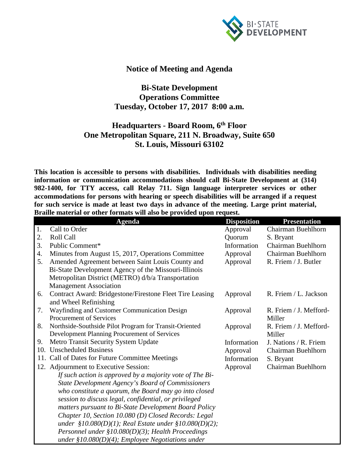

## **Notice of Meeting and Agenda**

## **Bi-State Development Operations Committee Tuesday, October 17, 2017 8:00 a.m.**

## **Headquarters - Board Room, 6th Floor One Metropolitan Square, 211 N. Broadway, Suite 650 St. Louis, Missouri 63102**

**This location is accessible to persons with disabilities. Individuals with disabilities needing information or communication accommodations should call Bi-State Development at (314) 982-1400, for TTY access, call Relay 711. Sign language interpreter services or other accommodations for persons with hearing or speech disabilities will be arranged if a request for such service is made at least two days in advance of the meeting. Large print material, Braille material or other formats will also be provided upon request.**

|     | $\frac{1}{2}$<br><b>Agenda</b>                              | <b>Disposition</b> | <b>Presentation</b>    |
|-----|-------------------------------------------------------------|--------------------|------------------------|
| 1.  | Call to Order                                               | Approval           | Chairman Buehlhorn     |
| 2.  | Roll Call                                                   | Quorum             | S. Bryant              |
| 3.  | Public Comment*                                             | Information        | Chairman Buehlhorn     |
| 4.  | Minutes from August 15, 2017, Operations Committee          | Approval           | Chairman Buehlhorn     |
| 5.  | Amended Agreement between Saint Louis County and            | Approval           | R. Friem / J. Butler   |
|     | Bi-State Development Agency of the Missouri-Illinois        |                    |                        |
|     | Metropolitan District (METRO) d/b/a Transportation          |                    |                        |
|     | <b>Management Association</b>                               |                    |                        |
| 6.  | Contract Award: Bridgestone/Firestone Fleet Tire Leasing    | Approval           | R. Friem / L. Jackson  |
|     | and Wheel Refinishing                                       |                    |                        |
| 7.  | Wayfinding and Customer Communication Design                | Approval           | R. Friem / J. Mefford- |
|     | Procurement of Services                                     |                    | Miller                 |
| 8.  | Northside-Southside Pilot Program for Transit-Oriented      | Approval           | R. Friem / J. Mefford- |
|     | Development Planning Procurement of Services                |                    | Miller                 |
| 9.  | Metro Transit Security System Update                        | Information        | J. Nations / R. Friem  |
| 10. | <b>Unscheduled Business</b>                                 | Approval           | Chairman Buehlhorn     |
| 11. | Call of Dates for Future Committee Meetings                 | Information        | S. Bryant              |
|     | 12. Adjournment to Executive Session:                       | Approval           | Chairman Buehlhorn     |
|     | If such action is approved by a majority vote of The Bi-    |                    |                        |
|     | <b>State Development Agency's Board of Commissioners</b>    |                    |                        |
|     | who constitute a quorum, the Board may go into closed       |                    |                        |
|     | session to discuss legal, confidential, or privileged       |                    |                        |
|     | matters pursuant to Bi-State Development Board Policy       |                    |                        |
|     | Chapter 10, Section 10.080 (D) Closed Records: Legal        |                    |                        |
|     | under $$10.080(D)(1)$ ; Real Estate under $$10.080(D)(2)$ ; |                    |                        |
|     | Personnel under $$10.080(D)(3)$ ; Health Proceedings        |                    |                        |
|     | under $$10.080(D)(4)$ ; Employee Negotiations under         |                    |                        |